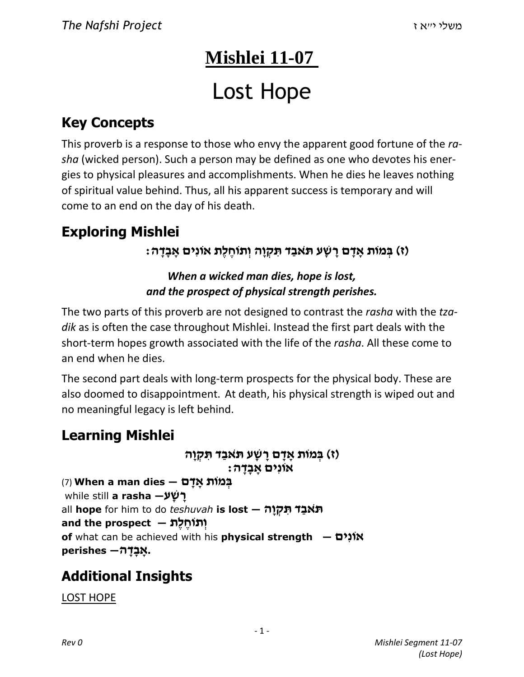## **Mishlei 11-07**

# Lost Hope

## **Key Concepts**

This proverb is a response to those who envy the apparent good fortune of the *rasha* (wicked person). Such a person may be defined as one who devotes his energies to physical pleasures and accomplishments. When he dies he leaves nothing of spiritual value behind. Thus, all his apparent success is temporary and will come to an end on the day of his death.

## **Exploring Mishlei**

#### **)ז( בְּ מוֹת אָ דָ ם רָ שָׁ ע תּ ֹאבַ ד תִּ קְ וָה וְ תוֹחֶ לֶת אוֹנִים אָ בָ דָ ה:**

#### *When a wicked man dies, hope is lost, and the prospect of physical strength perishes.*

The two parts of this proverb are not designed to contrast the *rasha* with the *tzadik* as is often the case throughout Mishlei. Instead the first part deals with the short-term hopes growth associated with the life of the *rasha*. All these come to an end when he dies.

The second part deals with long-term prospects for the physical body. These are also doomed to disappointment. At death, his physical strength is wiped out and no meaningful legacy is left behind.

### **Learning Mishlei**

```
)ז( בְּ מוֹת אָ דָ ם רָ שָׁ ע תּ ֹאבַ ד תִּ קְ וָה 
                                       אוֹנִים אָ בָ דָ ה:
בְּ מוֹת אָ דָ ם — dies man a When) 7(
while still a rasha —ע ָשׁ ָר
all hope for him to do teshuvah is lost — הָו ְק ִתּ ד ַאבֹ תּ
וְתוֹחֶלֶת — and the prospect
of what can be achieved with his physical strength — יםִאוֹנ
 .אָ בָ דָ ה— perishes
```
## **Additional Insights**

LOST HOPE